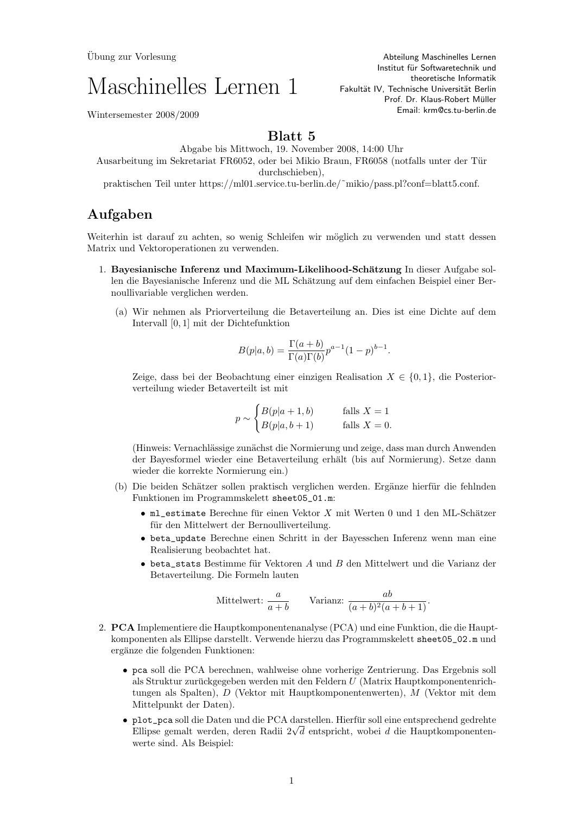Ubung zur Vorlesung ¨

## Maschinelles Lernen 1

Abteilung Maschinelles Lernen Institut für Softwaretechnik und theoretische Informatik Fakultät IV, Technische Universität Berlin Prof. Dr. Klaus-Robert Müller Email: krm@cs.tu-berlin.de

Wintersemester 2008/2009

## Blatt 5

Abgabe bis Mittwoch, 19. November 2008, 14:00 Uhr Ausarbeitung im Sekretariat FR6052, oder bei Mikio Braun, FR6058 (notfalls unter der Tur ¨ durchschieben), praktischen Teil unter https://ml01.service.tu-berlin.de/˜mikio/pass.pl?conf=blatt5.conf.

## Aufgaben

Weiterhin ist darauf zu achten, so wenig Schleifen wir möglich zu verwenden und statt dessen Matrix und Vektoroperationen zu verwenden.

- 1. Bayesianische Inferenz und Maximum-Likelihood-Schätzung In dieser Aufgabe sollen die Bayesianische Inferenz und die ML Schätzung auf dem einfachen Beispiel einer Bernoullivariable verglichen werden.
	- (a) Wir nehmen als Priorverteilung die Betaverteilung an. Dies ist eine Dichte auf dem Intervall [0, 1] mit der Dichtefunktion

$$
B(p|a,b) = \frac{\Gamma(a+b)}{\Gamma(a)\Gamma(b)} p^{a-1} (1-p)^{b-1}.
$$

Zeige, dass bei der Beobachtung einer einzigen Realisation  $X \in \{0,1\}$ , die Posteriorverteilung wieder Betaverteilt ist mit

$$
p \sim \begin{cases} B(p|a+1,b) & \text{falls } X = 1\\ B(p|a,b+1) & \text{falls } X = 0. \end{cases}
$$

(Hinweis: Vernachlässige zunächst die Normierung und zeige, dass man durch Anwenden der Bayesformel wieder eine Betaverteilung erhält (bis auf Normierung). Setze dann wieder die korrekte Normierung ein.)

- (b) Die beiden Schätzer sollen praktisch verglichen werden. Ergänze hierfür die fehlnden Funktionen im Programmskelett sheet05\_01.m:
	- ml\_estimate Berechne für einen Vektor  $X$  mit Werten 0 und 1 den ML-Schätzer für den Mittelwert der Bernoulliverteilung.
	- beta\_update Berechne einen Schritt in der Bayesschen Inferenz wenn man eine Realisierung beobachtet hat.
	- $\bullet$  beta\_stats Bestimme für Vektoren  $A$  und  $B$  den Mittelwert und die Varianz der Betaverteilung. Die Formeln lauten

$$
Mittelwert: \frac{a}{a+b} \qquad \text{Varianz: } \frac{ab}{(a+b)^2(a+b+1)}.
$$

- 2. PCA Implementiere die Hauptkomponentenanalyse (PCA) und eine Funktion, die die Hauptkomponenten als Ellipse darstellt. Verwende hierzu das Programmskelett sheet05\_02.m und ergänze die folgenden Funktionen:
	- pca soll die PCA berechnen, wahlweise ohne vorherige Zentrierung. Das Ergebnis soll als Struktur zurückgegeben werden mit den Feldern  $U$  (Matrix Hauptkomponentenrichtungen als Spalten), D (Vektor mit Hauptkomponentenwerten), M (Vektor mit dem Mittelpunkt der Daten).
	- plot\_pca soll die Daten und die PCA darstellen. Hierfür soll eine entsprechend gedrehte p1ot\_pca soil die Daten und die PCA darstellen. Hierfur soil eine entsprechend gedrente<br>Ellipse gemalt werden, deren Radii 2√d entspricht, wobei d die Hauptkomponentenwerte sind. Als Beispiel: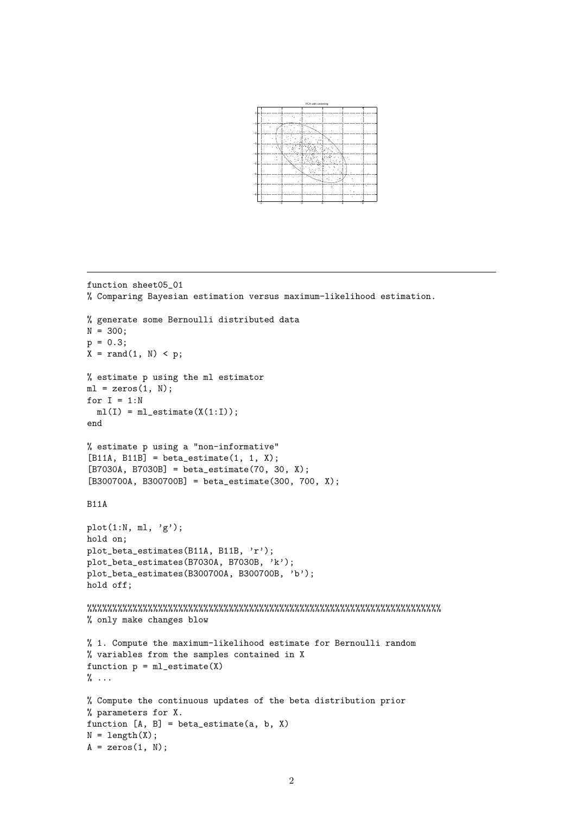

```
function sheet05_01
% Comparing Bayesian estimation versus maximum-likelihood estimation.
% generate some Bernoulli distributed data
N = 300;
p = 0.3;X = \text{rand}(1, N) < p;% estimate p using the ml estimator
ml = zeros(1, N):
for I = 1:Nml(I) = ml_estimate(X(1:I));end
% estimate p using a "non-informative"
[B11A, B11B] = beta\_estimate(1, 1, X);[B7030A, B7030B] = beta\_estimate(70, 30, X);[B300700A, B300700B] = beta_estimate(300, 700, X);
B11A
plot(1:N, ml, 'g');
hold on;
plot_beta_estimates(B11A, B11B, 'r');
plot_beta_estimates(B7030A, B7030B, 'k');
plot_beta_estimates(B300700A, B300700B, 'b');
hold off;
%%%%%%%%%%%%%%%%%%%%%%%%%%%%%%%%%%%%%%%%%%%%%%%%%%%%%%%%%%%%%%%%%%%%%%
% only make changes blow
% 1. Compute the maximum-likelihood estimate for Bernoulli random
% variables from the samples contained in X
function p = mL_{\text{estimate}}(X)\% \dots% Compute the continuous updates of the beta distribution prior
% parameters for X.
function [A, B] = beta\_estimate(a, b, X)N = length(X);A = zeros(1, N);
```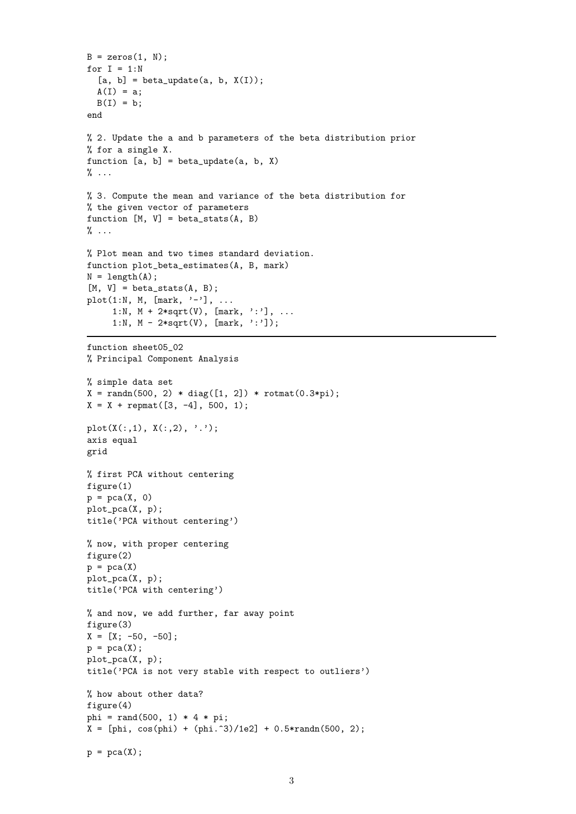```
B = zeros(1, N);for I = 1:N[a, b] = beta\_update(a, b, X(I));A(I) = a;B(I) = b;end
% 2. Update the a and b parameters of the beta distribution prior
% for a single X.
function [a, b] = beta\_update(a, b, X)\% \ldots% 3. Compute the mean and variance of the beta distribution for
% the given vector of parameters
function [M, V] = beta_{stats}(A, B)\% ...
% Plot mean and two times standard deviation.
function plot_beta_estimates(A, B, mark)
N = length(A);[M, V] = beta\_stats(A, B);plot(1:N, M, [mark, '-''], ...1:N, M + 2*sqrt(V), [mark, ':'], ...
     1:N, M - 2*sqrt(V), [mark, '::'];
function sheet05_02
% Principal Component Analysis
% simple data set
X = \text{randn}(500, 2) * diag([1, 2]) * \text{rotmat}(0.3*pi);X = X + \text{remat}([3, -4], 500, 1);plot(X(:,1), X(:,2), '');axis equal
grid
% first PCA without centering
figure(1)
p = pca(X, 0)plot_pca(X, p);
title('PCA without centering')
% now, with proper centering
figure(2)
p = pca(X)plot_pca(X, p);
title('PCA with centering')
% and now, we add further, far away point
figure(3)
X = [X; -50, -50];p = pca(X);plot_pca(X, p);
title('PCA is not very stable with respect to outliers')
% how about other data?
figure(4)
phi = rand(500, 1) * 4 * pi;X = [phi, cos(phi) + (phi. ^3)/1e2] + 0.5*randn(500, 2);p = pca(X);
```